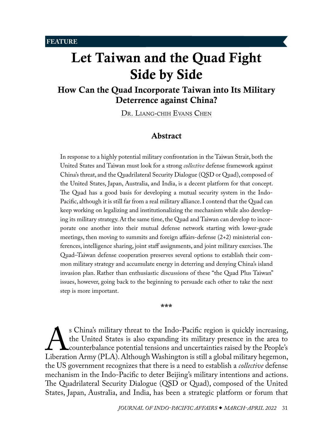# Let Taiwan and the Quad Fight Side by Side

# How Can the Quad Incorporate Taiwan into Its Military Deterrence against China?

DR. LIANG-CHIH EVANS CHEN

## <span id="page-0-0"></span>Abstract

In response to a highly potential military confrontation in the Taiwan Strait, both the United States and Taiwan must look for a strong *collective* defense framework against China's threat, and the Quadrilateral Security Dialogue (QSD or Quad), composed of the United States, Japan, Australia, and India, is a decent platform for that concept. The Quad has a good basis for developing a mutual security system in the Indo-Pacific, although it is still far from a real military alliance. I contend that the Quad can keep working on legalizing and institutionalizing the mechanism while also developing its military strategy. At the same time, the Quad and Taiwan can develop to incorporate one another into their mutual defense network starting with lower-grade meetings, then moving to summits and foreign affairs-defense (2+2) ministerial conferences, intelligence sharing, joint staff assignments, and joint military exercises. The Quad–Taiwan defense cooperation preserves several options to establish their common military strategy and accumulate energy in deterring and denying China's island invasion plan. Rather than enthusiastic discussions of these "the Quad Plus Taiwan" issues, however, going back to the beginning to persuade each other to take the next step is more important.

#### \*\*\*

S China's military threat to the Indo-Pacific region is quickly increasing,<br>the United States is also expanding its military presence in the area to<br>Liberation Army (PLA). Although Washington is still a global military heg the United States is also expanding its military presence in the area to counterbalance potential tensions and uncertainties raised by the People's the US government recognizes that there is a need to establish a *collective* defense mechanism in the Indo-Pacific to deter Beijing's military intentions and actions. The Quadrilateral Security Dialogue (QSD or Quad), composed of the United States, Japan, Australia, and India, has been a strategic platform or forum that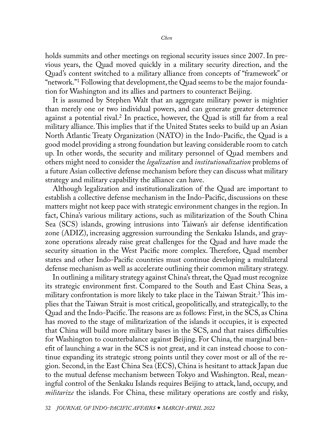<span id="page-1-0"></span>holds summits and other meetings on regional security issues since 2007. In previous years, the Quad moved quickly in a military security direction, and the Quad's content switched to a military alliance from concepts of "framework" or "network."[1](#page-14-0) Following that development, the Quad seems to be the major foundation for Washington and its allies and partners to counteract Beijing.

It is assumed by Stephen Walt that an aggregate military power is mightier than merely one or two individual powers, and can generate greater deterrence against a potential rival[.2](#page-14-0) In practice, however, the Quad is still far from a real military alliance. This implies that if the United States seeks to build up an Asian North Atlantic Treaty Organization (NATO) in the Indo-Pacific, the Quad is a good model providing a strong foundation but leaving considerable room to catch up. In other words, the security and military personnel of Quad members and others might need to consider the *legalization* and *institutionalization* problems of a future Asian collective defense mechanism before they can discuss what military strategy and military capability the alliance can have.

Although legalization and institutionalization of the Quad are important to establish a collective defense mechanism in the Indo-Pacific, discussions on these matters might not keep pace with strategic environment changes in the region. In fact, China's various military actions, such as militarization of the South China Sea (SCS) islands, growing intrusions into Taiwan's air defense identification zone (ADIZ), increasing aggression surrounding the Senkaku Islands, and grayzone operations already raise great challenges for the Quad and have made the security situation in the West Pacific more complex. Therefore, Quad member states and other Indo-Pacific countries must continue developing a multilateral defense mechanism as well as accelerate outlining their common military strategy.

In outlining a military strategy against China's threat, the Quad must recognize its strategic environment first. Compared to the South and East China Seas, a military confrontation is more likely to take place in the Taiwan Strait.<sup>[3](#page-14-0)</sup> This implies that the Taiwan Strait is most critical, geopolitically, and strategically, to the Quad and the Indo-Pacific. The reasons are as follows: First, in the SCS, as China has moved to the stage of militarization of the islands it occupies, it is expected that China will build more military bases in the SCS, and that raises difficulties for Washington to counterbalance against Beijing. For China, the marginal benefit of launching a war in the SCS is not great, and it can instead choose to continue expanding its strategic strong points until they cover most or all of the region. Second, in the East China Sea (ECS), China is hesitant to attack Japan due to the mutual defense mechanism between Tokyo and Washington. Real, meaningful control of the Senkaku Islands requires Beijing to attack, land, occupy, and *militarize* the islands. For China, these military operations are costly and risky,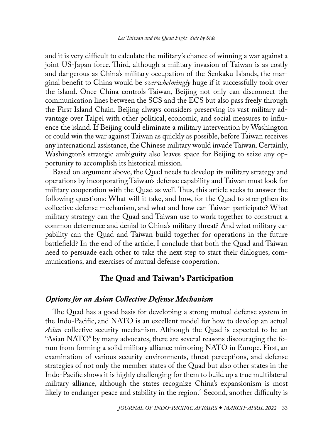<span id="page-2-0"></span>and it is very difficult to calculate the military's chance of winning a war against a joint US-Japan force. Third, although a military invasion of Taiwan is as costly and dangerous as China's military occupation of the Senkaku Islands, the marginal benefit to China would be *overwhelmingly* huge if it successfully took over the island. Once China controls Taiwan, Beijing not only can disconnect the communication lines between the SCS and the ECS but also pass freely through the First Island Chain. Beijing always considers preserving its vast military advantage over Taipei with other political, economic, and social measures to influence the island. If Beijing could eliminate a military intervention by Washington or could win the war against Taiwan as quickly as possible, before Taiwan receives any international assistance, the Chinese military would invade Taiwan. Certainly, Washington's strategic ambiguity also leaves space for Beijing to seize any opportunity to accomplish its historical mission.

Based on argument above, the Quad needs to develop its military strategy and operations by incorporating Taiwan's defense capability and Taiwan must look for military cooperation with the Quad as well. Thus, this article seeks to answer the following questions: What will it take, and how, for the Quad to strengthen its collective defense mechanism, and what and how can Taiwan participate? What military strategy can the Quad and Taiwan use to work together to construct a common deterrence and denial to China's military threat? And what military capability can the Quad and Taiwan build together for operations in the future battlefield? In the end of the article, I conclude that both the Quad and Taiwan need to persuade each other to take the next step to start their dialogues, communications, and exercises of mutual defense cooperation.

## The Quad and Taiwan's Participation

### *Options for an Asian Collective Defense Mechanism*

The Quad has a good basis for developing a strong mutual defense system in the Indo-Pacific, and NATO is an excellent model for how to develop an actual *Asian* collective security mechanism. Although the Quad is expected to be an "Asian NATO" by many advocates, there are several reasons discouraging the forum from forming a solid military alliance mirroring NATO in Europe. First, an examination of various security environments, threat perceptions, and defense strategies of not only the member states of the Quad but also other states in the Indo-Pacific shows it is highly challenging for them to build up a true multilateral military alliance, although the states recognize China's expansionism is most likely to endanger peace and stability in the region.[4](#page-15-0) Second, another difficulty is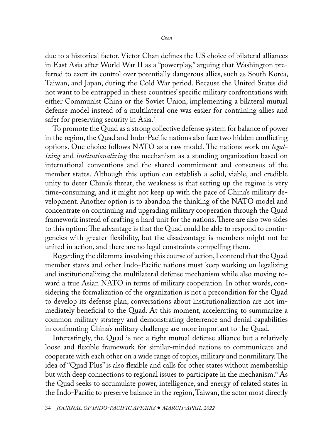<span id="page-3-0"></span>due to a historical factor. Victor Chan defines the US choice of bilateral alliances in East Asia after World War II as a "powerplay," arguing that Washington preferred to exert its control over potentially dangerous allies, such as South Korea, Taiwan, and Japan, during the Cold War period. Because the United States did not want to be entrapped in these countries' specific military confrontations with either Communist China or the Soviet Union, implementing a bilateral mutual defense model instead of a multilateral one was easier for containing allies and safer for preserving security in Asia.<sup>5</sup>

To promote the Quad as a strong collective defense system for balance of power in the region, the Quad and Indo-Pacific nations also face two hidden conflicting options. One choice follows NATO as a raw model. The nations work on *legalizing* and *institutionalizing* the mechanism as a standing organization based on international conventions and the shared commitment and consensus of the member states. Although this option can establish a solid, viable, and credible unity to deter China's threat, the weakness is that setting up the regime is very time-consuming, and it might not keep up with the pace of China's military development. Another option is to abandon the thinking of the NATO model and concentrate on continuing and upgrading military cooperation through the Quad framework instead of crafting a hard unit for the nations. There are also two sides to this option: The advantage is that the Quad could be able to respond to contingencies with greater flexibility, but the disadvantage is members might not be united in action, and there are no legal constraints compelling them.

Regarding the dilemma involving this course of action, I contend that the Quad member states and other Indo-Pacific nations must keep working on legalizing and institutionalizing the multilateral defense mechanism while also moving toward a true Asian NATO in terms of military cooperation. In other words, considering the formalization of the organization is not a precondition for the Quad to develop its defense plan, conversations about institutionalization are not immediately beneficial to the Quad. At this moment, accelerating to summarize a common military strategy and demonstrating deterrence and denial capabilities in confronting China's military challenge are more important to the Quad.

Interestingly, the Quad is not a tight mutual defense alliance but a relatively loose and flexible framework for similar-minded nations to communicate and cooperate with each other on a wide range of topics, military and nonmilitary. The idea of "Quad Plus" is also flexible and calls for other states without membership but with deep connections to regional issues to participate in the mechanism[.6](#page-15-0) As the Quad seeks to accumulate power, intelligence, and energy of related states in the Indo-Pacific to preserve balance in the region, Taiwan, the actor most directly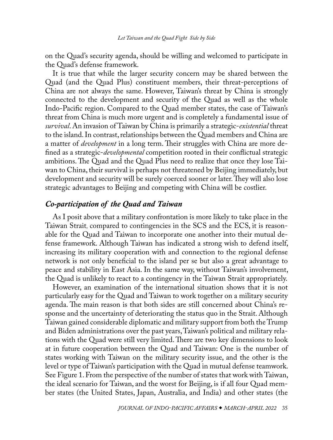on the Quad's security agenda, should be willing and welcomed to participate in the Quad's defense framework.

It is true that while the larger security concern may be shared between the Quad (and the Quad Plus) constituent members, their threat-perceptions of China are not always the same. However, Taiwan's threat by China is strongly connected to the development and security of the Quad as well as the whole Indo-Pacific region. Compared to the Quad member states, the case of Taiwan's threat from China is much more urgent and is completely a fundamental issue of *survival*. An invasion of Taiwan by China is primarily a strategic-*existential* threat to the island. In contrast, relationships between the Quad members and China are a matter of *development* in a long term. Their struggles with China are more defined as a strategic-*developmental* competition rooted in their conflictual strategic ambitions. The Quad and the Quad Plus need to realize that once they lose Taiwan to China, their survival is perhaps not threatened by Beijing immediately, but development and security will be surely coerced sooner or later. They will also lose strategic advantages to Beijing and competing with China will be costlier.

### *Co-participation of the Quad and Taiwan*

As I posit above that a military confrontation is more likely to take place in the Taiwan Strait, compared to contingencies in the SCS and the ECS, it is reasonable for the Quad and Taiwan to incorporate one another into their mutual defense framework. Although Taiwan has indicated a strong wish to defend itself, increasing its military cooperation with and connection to the regional defense network is not only beneficial to the island per se but also a great advantage to peace and stability in East Asia. In the same way, without Taiwan's involvement, the Quad is unlikely to react to a contingency in the Taiwan Strait appropriately.

However, an examination of the international situation shows that it is not particularly easy for the Quad and Taiwan to work together on a military security agenda. The main reason is that both sides are still concerned about China's response and the uncertainty of deteriorating the status quo in the Strait. Although Taiwan gained considerable diplomatic and military support from both the Trump and Biden administrations over the past years, Taiwan's political and military relations with the Quad were still very limited. There are two key dimensions to look at in future cooperation between the Quad and Taiwan: One is the number of states working with Taiwan on the military security issue, and the other is the level or type of Taiwan's participation with the Quad in mutual defense teamwork. See Figure 1. From the perspective of the number of states that work with Taiwan, the ideal scenario for Taiwan, and the worst for Beijing, is if all four Quad member states (the United States, Japan, Australia, and India) and other states (the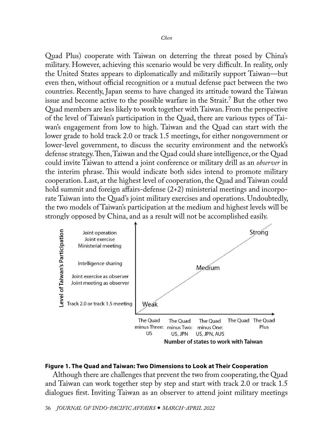<span id="page-5-0"></span>Quad Plus) cooperate with Taiwan on deterring the threat posed by China's military. However, achieving this scenario would be very difficult. In reality, only the United States appears to diplomatically and militarily support Taiwan—but even then, without official recognition or a mutual defense pact between the two countries. Recently, Japan seems to have changed its attitude toward the Taiwan issue and become active to the possible warfare in the Strait.[7](#page-15-0) But the other two Quad members are less likely to work together with Taiwan. From the perspective of the level of Taiwan's participation in the Quad, there are various types of Taiwan's engagement from low to high. Taiwan and the Quad can start with the lower grade to hold track 2.0 or track 1.5 meetings, for either nongovernment or lower-level government, to discuss the security environment and the network's defense strategy. Then, Taiwan and the Quad could share intelligence, or the Quad could invite Taiwan to attend a joint conference or military drill as an *observer* in the interim phrase. This would indicate both sides intend to promote military cooperation. Last, at the highest level of cooperation, the Quad and Taiwan could hold summit and foreign affairs-defense  $(2+2)$  ministerial meetings and incorporate Taiwan into the Quad's joint military exercises and operations. Undoubtedly, the two models of Taiwan's participation at the medium and highest levels will be strongly opposed by China, and as a result will not be accomplished easily.



#### **Figure 1. The Quad and Taiwan: Two Dimensions to Look at Their Cooperation**

Although there are challenges that prevent the two from cooperating, the Quad and Taiwan can work together step by step and start with track 2.0 or track 1.5 dialogues first. Inviting Taiwan as an observer to attend joint military meetings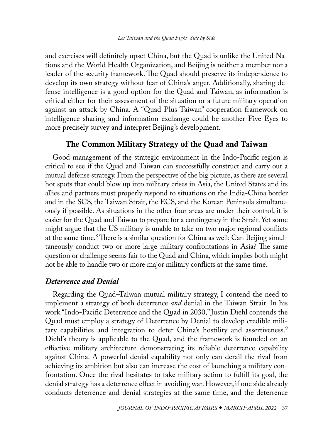<span id="page-6-0"></span>and exercises will definitely upset China, but the Quad is unlike the United Nations and the World Health Organization, and Beijing is neither a member nor a leader of the security framework. The Quad should preserve its independence to develop its own strategy without fear of China's anger. Additionally, sharing defense intelligence is a good option for the Quad and Taiwan, as information is critical either for their assessment of the situation or a future military operation against an attack by China. A "Quad Plus Taiwan" cooperation framework on intelligence sharing and information exchange could be another Five Eyes to more precisely survey and interpret Beijing's development.

## The Common Military Strategy of the Quad and Taiwan

Good management of the strategic environment in the Indo-Pacific region is critical to see if the Quad and Taiwan can successfully construct and carry out a mutual defense strategy. From the perspective of the big picture, as there are several hot spots that could blow up into military crises in Asia, the United States and its allies and partners must properly respond to situations on the India-China border and in the SCS, the Taiwan Strait, the ECS, and the Korean Peninsula simultaneously if possible. As situations in the other four areas are under their control, it is easier for the Quad and Taiwan to prepare for a contingency in the Strait. Yet some might argue that the US military is unable to take on two major regional conflicts at the same time.<sup>8</sup> There is a similar question for China as well: Can Beijing simultaneously conduct two or more large military confrontations in Asia? The same question or challenge seems fair to the Quad and China, which implies both might not be able to handle two or more major military conflicts at the same time.

#### *Deterrence and Denial*

Regarding the Quad–Taiwan mutual military strategy, I contend the need to implement a strategy of both deterrence *and* denial in the Taiwan Strait. In his work "Indo-Pacific Deterrence and the Quad in 2030," Justin Diehl contends the Quad must employ a strategy of Deterrence by Denial to develop credible mili-tary capabilities and integration to deter China's hostility and assertiveness.<sup>[9](#page-15-0)</sup> Diehl's theory is applicable to the Quad, and the framework is founded on an effective military architecture demonstrating its reliable deterrence capability against China. A powerful denial capability not only can derail the rival from achieving its ambition but also can increase the cost of launching a military confrontation. Once the rival hesitates to take military action to fulfill its goal, the denial strategy has a deterrence effect in avoiding war. However, if one side already conducts deterrence and denial strategies at the same time, and the deterrence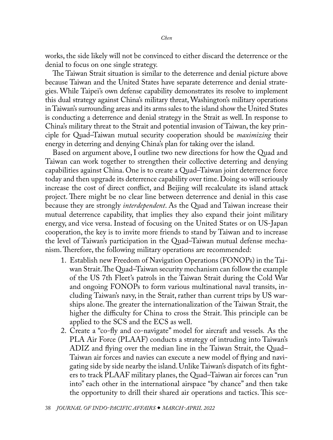works, the side likely will not be convinced to either discard the deterrence or the denial to focus on one single strategy.

The Taiwan Strait situation is similar to the deterrence and denial picture above because Taiwan and the United States have separate deterrence and denial strategies. While Taipei's own defense capability demonstrates its resolve to implement this dual strategy against China's military threat, Washington's military operations in Taiwan's surrounding areas and its arms sales to the island show the United States is conducting a deterrence and denial strategy in the Strait as well. In response to China's military threat to the Strait and potential invasion of Taiwan, the key principle for Quad–Taiwan mutual security cooperation should be *maximizing* their energy in deterring and denying China's plan for taking over the island.

Based on argument above, I outline two new directions for how the Quad and Taiwan can work together to strengthen their collective deterring and denying capabilities against China. One is to create a Quad–Taiwan joint deterrence force today and then upgrade its deterrence capability over time. Doing so will seriously increase the cost of direct conflict, and Beijing will recalculate its island attack project. There might be no clear line between deterrence and denial in this case because they are strongly *interdependent*. As the Quad and Taiwan increase their mutual deterrence capability, that implies they also expand their joint military energy, and vice versa. Instead of focusing on the United States or on US-Japan cooperation, the key is to invite more friends to stand by Taiwan and to increase the level of Taiwan's participation in the Quad–Taiwan mutual defense mechanism. Therefore, the following military operations are recommended:

- 1. Establish new Freedom of Navigation Operations (FONOPs) in the Taiwan Strait. The Quad–Taiwan security mechanism can follow the example of the US 7th Fleet's patrols in the Taiwan Strait during the Cold War and ongoing FONOPs to form various multinational naval transits, including Taiwan's navy, in the Strait, rather than current trips by US warships alone. The greater the internationalization of the Taiwan Strait, the higher the difficulty for China to cross the Strait. This principle can be applied to the SCS and the ECS as well.
- 2. Create a "co-fly and co-navigate" model for aircraft and vessels*.* As the PLA Air Force (PLAAF) conducts a strategy of intruding into Taiwan's ADIZ and flying over the median line in the Taiwan Strait, the Quad– Taiwan air forces and navies can execute a new model of flying and navigating side by side nearby the island. Unlike Taiwan's dispatch of its fighters to track PLAAF military planes, the Quad–Taiwan air forces can "run into" each other in the international airspace "by chance" and then take the opportunity to drill their shared air operations and tactics. This sce-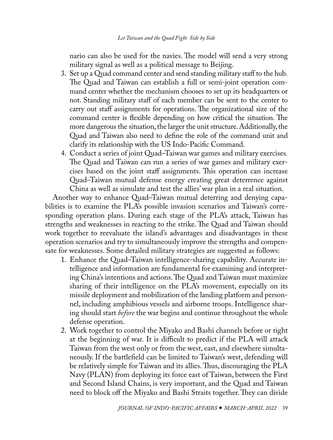nario can also be used for the navies. The model will send a very strong military signal as well as a political message to Beijing.

- 3. Set up a Quad command center and send standing military staff to the hub*.* The Quad and Taiwan can establish a full or semi-joint operation command center whether the mechanism chooses to set up its headquarters or not. Standing military staff of each member can be sent to the center to carry out staff assignments for operations. The organizational size of the command center is flexible depending on how critical the situation. The more dangerous the situation, the larger the unit structure. Additionally, the Quad and Taiwan also need to define the role of the command unit and clarify its relationship with the US Indo-Pacific Command.
- 4. Conduct a series of joint Quad–Taiwan war games and military exercises*.* The Quad and Taiwan can run a series of war games and military exercises based on the joint staff assignments. This operation can increase Quad–Taiwan mutual defense energy creating great deterrence against China as well as simulate and test the allies' war plan in a real situation.

Another way to enhance Quad–Taiwan mutual deterring and denying capabilities is to examine the PLA's possible invasion scenarios and Taiwan's corresponding operation plans. During each stage of the PLA's attack, Taiwan has strengths and weaknesses in reacting to the strike. The Quad and Taiwan should work together to reevaluate the island's advantages and disadvantages in these operation scenarios and try to simultaneously improve the strengths and compensate for weaknesses. Some detailed military strategies are suggested as follows:

- 1. Enhance the Quad–Taiwan intelligence-sharing capability*.* Accurate intelligence and information are fundamental for examining and interpreting China's intentions and actions. The Quad and Taiwan must maximize sharing of their intelligence on the PLA's movement, especially on its missile deployment and mobilization of the landing platform and personnel, including amphibious vessels and airborne troops. Intelligence sharing should start *before* the war begins and continue throughout the whole defense operation.
- 2. Work together to control the Miyako and Bashi channels before or right at the beginning of war*.* It is difficult to predict if the PLA will attack Taiwan from the west only or from the west, east, and elsewhere simultaneously. If the battlefield can be limited to Taiwan's west, defending will be relatively simple for Taiwan and its allies. Thus, discouraging the PLA Navy (PLAN) from deploying its force east of Taiwan, between the First and Second Island Chains, is very important, and the Quad and Taiwan need to block off the Miyako and Bashi Straits together. They can divide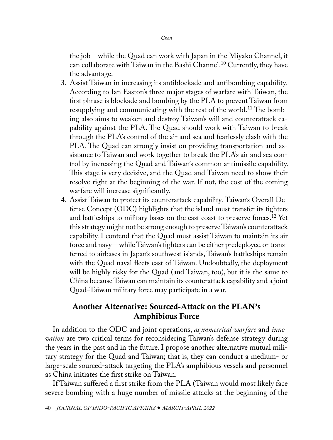<span id="page-9-0"></span>the job—while the Quad can work with Japan in the Miyako Channel, it can collaborate with Taiwan in the Bashi Channel.<sup>[10](#page-15-0)</sup> Currently, they have the advantage.

- 3. Assist Taiwan in increasing its antiblockade and antibombing capability*.*  According to Ian Easton's three major stages of warfare with Taiwan, the first phrase is blockade and bombing by the PLA to prevent Taiwan from resupplying and communicating with the rest of the world.<sup>11</sup> The bombing also aims to weaken and destroy Taiwan's will and counterattack capability against the PLA. The Quad should work with Taiwan to break through the PLA's control of the air and sea and fearlessly clash with the PLA. The Quad can strongly insist on providing transportation and assistance to Taiwan and work together to break the PLA's air and sea control by increasing the Quad and Taiwan's common antimissile capability. This stage is very decisive, and the Quad and Taiwan need to show their resolve right at the beginning of the war. If not, the cost of the coming warfare will increase significantly.
- 4. Assist Taiwan to protect its counterattack capability*.* Taiwan's Overall Defense Concept (ODC) highlights that the island must transfer its fighters and battleships to military bases on the east coast to preserve forces.<sup>12</sup> Yet this strategy might not be strong enough to preserve Taiwan's counterattack capability. I contend that the Quad must assist Taiwan to maintain its air force and navy—while Taiwan's fighters can be either predeployed or transferred to airbases in Japan's southwest islands, Taiwan's battleships remain with the Quad naval fleets east of Taiwan. Undoubtedly, the deployment will be highly risky for the Quad (and Taiwan, too), but it is the same to China because Taiwan can maintain its counterattack capability and a joint Quad–Taiwan military force may participate in a war.

# Another Alternative: Sourced-Attack on the PLAN's Amphibious Force

In addition to the ODC and joint operations, *asymmetrical warfare* and *innovation* are two critical terms for reconsidering Taiwan's defense strategy during the years in the past and in the future. I propose another alternative mutual military strategy for the Quad and Taiwan; that is, they can conduct a medium- or large-scale sourced-attack targeting the PLA's amphibious vessels and personnel as China initiates the first strike on Taiwan.

If Taiwan suffered a first strike from the PLA (Taiwan would most likely face severe bombing with a huge number of missile attacks at the beginning of the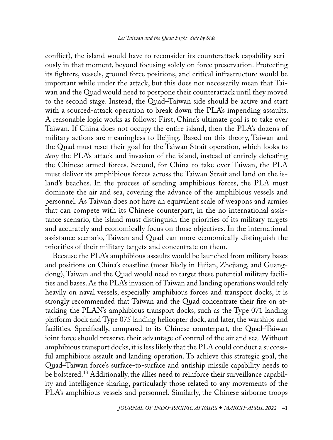<span id="page-10-0"></span>conflict), the island would have to reconsider its counterattack capability seriously in that moment, beyond focusing solely on force preservation. Protecting its fighters, vessels, ground force positions, and critical infrastructure would be important while under the attack, but this does not necessarily mean that Taiwan and the Quad would need to postpone their counterattack until they moved to the second stage. Instead, the Quad–Taiwan side should be active and start with a sourced-attack operation to break down the PLA's impending assaults. A reasonable logic works as follows: First, China's ultimate goal is to take over Taiwan. If China does not occupy the entire island, then the PLA's dozens of military actions are meaningless to Beijing. Based on this theory, Taiwan and the Quad must reset their goal for the Taiwan Strait operation, which looks to *deny* the PLA's attack and invasion of the island, instead of entirely defeating the Chinese armed forces. Second, for China to take over Taiwan, the PLA must deliver its amphibious forces across the Taiwan Strait and land on the island's beaches. In the process of sending amphibious forces, the PLA must dominate the air and sea, covering the advance of the amphibious vessels and personnel. As Taiwan does not have an equivalent scale of weapons and armies that can compete with its Chinese counterpart, in the no international assistance scenario, the island must distinguish the priorities of its military targets and accurately and economically focus on those objectives. In the international assistance scenario, Taiwan and Quad can more economically distinguish the priorities of their military targets and concentrate on them.

Because the PLA's amphibious assaults would be launched from military bases and positions on China's coastline (most likely in Fujian, Zhejiang, and Guangdong), Taiwan and the Quad would need to target these potential military facilities and bases. As the PLA's invasion of Taiwan and landing operations would rely heavily on naval vessels, especially amphibious forces and transport docks, it is strongly recommended that Taiwan and the Quad concentrate their fire on attacking the PLAN's amphibious transport docks, such as the Type 071 landing platform dock and Type 075 landing helicopter dock, and later, the warships and facilities. Specifically, compared to its Chinese counterpart, the Quad–Taiwan joint force should preserve their advantage of control of the air and sea. Without amphibious transport docks, it is less likely that the PLA could conduct a successful amphibious assault and landing operation. To achieve this strategic goal, the Quad–Taiwan force's surface-to-surface and antiship missile capability needs to be bolstered.<sup>13</sup> Additionally, the allies need to reinforce their surveillance capability and intelligence sharing, particularly those related to any movements of the PLA's amphibious vessels and personnel. Similarly, the Chinese airborne troops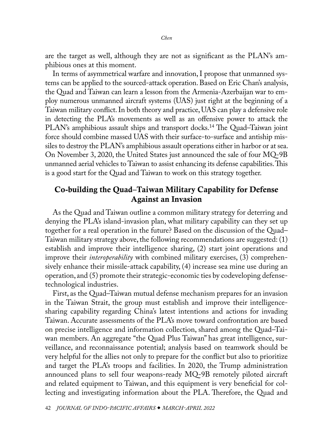<span id="page-11-0"></span>are the target as well, although they are not as significant as the PLAN's amphibious ones at this moment.

In terms of asymmetrical warfare and innovation, I propose that unmanned systems can be applied to the sourced-attack operation. Based on Eric Chan's analysis, the Quad and Taiwan can learn a lesson from the Armenia-Azerbaijan war to employ numerous unmanned aircraft systems (UAS) just right at the beginning of a Taiwan military conflict. In both theory and practice, UAS can play a defensive role in detecting the PLA's movements as well as an offensive power to attack the PLAN's amphibious assault ships and transport docks.<sup>14</sup> The Quad–Taiwan joint force should combine massed UAS with their surface-to-surface and antiship missiles to destroy the PLAN's amphibious assault operations either in harbor or at sea. On November 3, 2020, the United States just announced the sale of four MQ-9B unmanned aerial vehicles to Taiwan to assist enhancing its defense capabilities. This is a good start for the Quad and Taiwan to work on this strategy together.

## Co-building the Quad–Taiwan Military Capability for Defense Against an Invasion

As the Quad and Taiwan outline a common military strategy for deterring and denying the PLA's island-invasion plan, what military capability can they set up together for a real operation in the future? Based on the discussion of the Quad– Taiwan military strategy above, the following recommendations are suggested: (1) establish and improve their intelligence sharing, (2) start joint operations and improve their *interoperability* with combined military exercises, (3) comprehensively enhance their missile-attack capability, (4) increase sea mine use during an operation, and (5) promote their strategic-economic ties by codeveloping defensetechnological industries.

First, as the Quad–Taiwan mutual defense mechanism prepares for an invasion in the Taiwan Strait, the group must establish and improve their intelligencesharing capability regarding China's latest intentions and actions for invading Taiwan. Accurate assessments of the PLA's move toward confrontation are based on precise intelligence and information collection, shared among the Quad–Taiwan members. An aggregate "the Quad Plus Taiwan" has great intelligence, surveillance, and reconnaissance potential; analysis based on teamwork should be very helpful for the allies not only to prepare for the conflict but also to prioritize and target the PLA's troops and facilities. In 2020, the Trump administration announced plans to sell four weapons-ready MQ-9B remotely piloted aircraft and related equipment to Taiwan, and this equipment is very beneficial for collecting and investigating information about the PLA. Therefore, the Quad and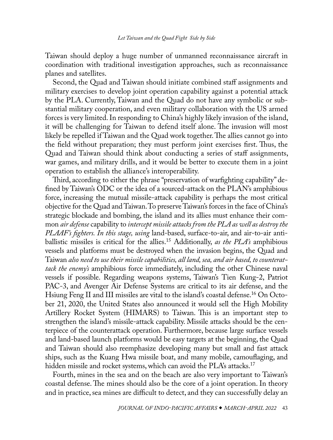<span id="page-12-0"></span>Taiwan should deploy a huge number of unmanned reconnaissance aircraft in coordination with traditional investigation approaches, such as reconnaissance planes and satellites.

Second, the Quad and Taiwan should initiate combined staff assignments and military exercises to develop joint operation capability against a potential attack by the PLA. Currently, Taiwan and the Quad do not have any symbolic or substantial military cooperation, and even military collaboration with the US armed forces is very limited. In responding to China's highly likely invasion of the island, it will be challenging for Taiwan to defend itself alone. The invasion will most likely be repelled if Taiwan and the Quad work together. The allies cannot go into the field without preparation; they must perform joint exercises first. Thus, the Quad and Taiwan should think about conducting a series of staff assignments, war games, and military drills, and it would be better to execute them in a joint operation to establish the alliance's interoperability.

Third, according to either the phrase "preservation of warfighting capability" defined by Taiwan's ODC or the idea of a sourced-attack on the PLAN's amphibious force, increasing the mutual missile-attack capability is perhaps the most critical objective for the Quad and Taiwan. To preserve Taiwan's forces in the face of China's strategic blockade and bombing, the island and its allies must enhance their common *air defense* capability to *intercept missile attacks from the PLA as well as destroy the PLAAF's fighters. In this stage, using* land-based, surface-to-air, and air-to-air antiballistic missiles is critical for the allies[.15](#page-15-0) Additionally, *as the PLA's* amphibious vessels and platforms must be destroyed when the invasion begins, the Quad and Taiwan *also need to use their missile capabilities, all land, sea, and air based, to counterattack the enemy's* amphibious force immediately, including the other Chinese naval vessels if possible. Regarding weapons systems, Taiwan's Tien Kung-2, Patriot PAC-3, and Avenger Air Defense Systems are critical to its air defense, and the [Hsiung Feng II and III](http://www.ncsist.org.tw/eng/csistdup/products/products_Middle.aspx?catelog_Id=30) missiles are vital to the island's coastal defense.<sup>16</sup> On October 21, 2020, the United States also announced it would sell the High Mobility Artillery Rocket System (HIMARS) to Taiwan. This is an important step to strengthen the island's missile-attack capability. Missile attacks should be the centerpiece of the counterattack operation. Furthermore, because large surface vessels and land-based launch platforms would be easy targets at the beginning, the Quad and Taiwan should also reemphasize developing many but small and fast attack ships, such as the Kuang Hwa missile boat, and many mobile, camouflaging, and hidden missile and rocket systems, which can avoid the PLA's attacks.<sup>17</sup>

Fourth, mines in the sea and on the beach are also very important to Taiwan's coastal defense. The mines should also be the core of a joint operation. In theory and in practice, sea mines are difficult to detect, and they can successfully delay an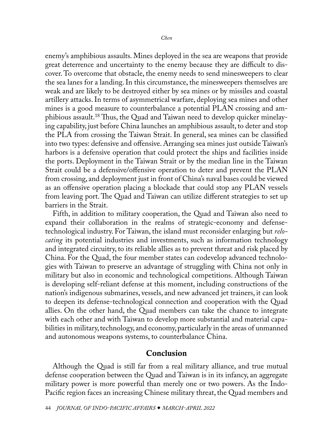<span id="page-13-0"></span>enemy's amphibious assaults. Mines deployed in the sea are weapons that provide great deterrence and uncertainty to the enemy because they are difficult to discover. To overcome that obstacle, the enemy needs to send minesweepers to clear the sea lanes for a landing. In this circumstance, the minesweepers themselves are weak and are likely to be destroyed either by sea mines or by missiles and coastal artillery attacks. In terms of asymmetrical warfare, deploying sea mines and other mines is a good measure to counterbalance a potential PLAN crossing and amphibious assault.<sup>18</sup> Thus, the Quad and Taiwan need to develop quicker minelaying capability, just before China launches an amphibious assault, to deter and stop the PLA from crossing the Taiwan Strait. In general, sea mines can be classified into two types: defensive and offensive. Arranging sea mines just outside Taiwan's harbors is a defensive operation that could protect the ships and facilities inside the ports. Deployment in the Taiwan Strait or by the median line in the Taiwan Strait could be a defensive/offensive operation to deter and prevent the PLAN from crossing, and deployment just in front of China's naval bases could be viewed as an offensive operation placing a blockade that could stop any PLAN vessels from leaving port. The Quad and Taiwan can utilize different strategies to set up barriers in the Strait.

Fifth, in addition to military cooperation, the Quad and Taiwan also need to expand their collaboration in the realms of strategic-economy and defensetechnological industry. For Taiwan, the island must reconsider enlarging but *relocating* its potential industries and investments, such as information technology and integrated circuitry, to its reliable allies as to prevent threat and risk placed by China. For the Quad, the four member states can codevelop advanced technologies with Taiwan to preserve an advantage of struggling with China not only in military but also in economic and technological competitions. Although Taiwan is developing self-reliant defense at this moment, including constructions of the nation's indigenous submarines, vessels, and new advanced jet trainers, it can look to deepen its defense-technological connection and cooperation with the Quad allies. On the other hand, the Quad members can take the chance to integrate with each other and with Taiwan to develop more substantial and material capabilities in military, technology, and economy, particularly in the areas of unmanned and autonomous weapons systems, to counterbalance China.

## Conclusion

Although the Quad is still far from a real military alliance, and true mutual defense cooperation between the Quad and Taiwan is in its infancy, an aggregate military power is more powerful than merely one or two powers. As the Indo-Pacific region faces an increasing Chinese military threat, the Quad members and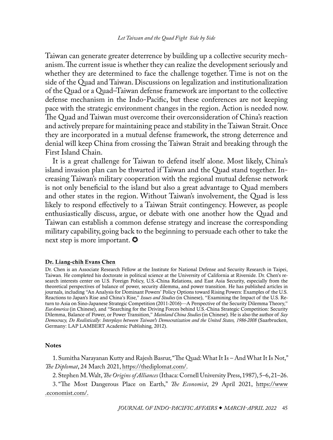<span id="page-14-0"></span>Taiwan can generate greater deterrence by building up a collective security mechanism. The current issue is whether they can realize the development seriously and whether they are determined to face the challenge together. Time is not on the side of the Quad and Taiwan. Discussions on legalization and institutionalization of the Quad or a Quad–Taiwan defense framework are important to the collective defense mechanism in the Indo-Pacific, but these conferences are not keeping pace with the strategic environment changes in the region. Action is needed now. The Quad and Taiwan must overcome their overconsideration of China's reaction and actively prepare for maintaining peace and stability in the Taiwan Strait. Once they are incorporated in a mutual defense framework, the strong deterrence and denial will keep China from crossing the Taiwan Strait and breaking through the First Island Chain.

It is a great challenge for Taiwan to defend itself alone. Most likely, China's island invasion plan can be thwarted if Taiwan and the Quad stand together. Increasing Taiwan's military cooperation with the regional mutual defense network is not only beneficial to the island but also a great advantage to Quad members and other states in the region. Without Taiwan's involvement, the Quad is less likely to respond effectively to a Taiwan Strait contingency. However, as people enthusiastically discuss, argue, or debate with one another how the Quad and Taiwan can establish a common defense strategy and increase the corresponding military capability, going back to the beginning to persuade each other to take the next step is more important.  $\boldsymbol{\heartsuit}$ 

#### [Dr. Liang-chih Evans Chen](#page-0-0)

Dr. Chen is an Associate Research Fellow at the Institute for National Defense and Security Research in Taipei, Taiwan. He completed his doctorate in political science at the University of California at Riverside. Dr. Chen's research interests center on U.S. Foreign Policy, U.S.-China Relations, and East Asia Security, especially from the theoretical perspectives of balance of power, security dilemma, and power transition. He has published articles in journals, including "An Analysis for Dominant Powers' Policy Options toward Rising Powers: Examples of the U.S. Reactions to Japan's Rise and China's Rise," *Issues and Studies* (in Chinese), "Examining the Impact of the U.S. Return to Asia on Sino-Japanese Strategic Competition (2011-2016)—A Perspective of the Security Dilemma Theory," *EurAmerica* (in Chinese), and "Searching for the Driving Forces behind U.S.-China Strategic Competition: Security Dilemma, Balance of Power, or Power Transition," *Mainland China Studies* (in Chinese). He is also the author of *Say Democracy, Do Realistically: Interplays between Taiwan's Democratization and the United States, 1986-2008* (Saarbrucken, Germany: LAP LAMBERT Academic Publishing, 2012).

#### **Notes**

[1](#page-1-0). Sumitha Narayanan Kutty and Rajesh Basrur, "The Quad: What It Is – And What It Is Not," *The Diplomat*, 24 March 2021, [https://thediplomat.com/.](https://thediplomat.com/2021/03/the-quad-what-it-is-and-what-it-is-not/)

[2](#page-1-0). Stephen M. Walt, *The Origins of Alliances* (Ithaca: Cornell University Press, 1987), 5–6, 21–26.

[3](#page-1-0)."The Most Dangerous Place on Earth," *The Economist*, 29 April 2021, [https://www](https://www.economist.com/leaders/2021/05/01/the-most-dangerous-place-on-earth/) [.economist.com/.](https://www.economist.com/leaders/2021/05/01/the-most-dangerous-place-on-earth/)